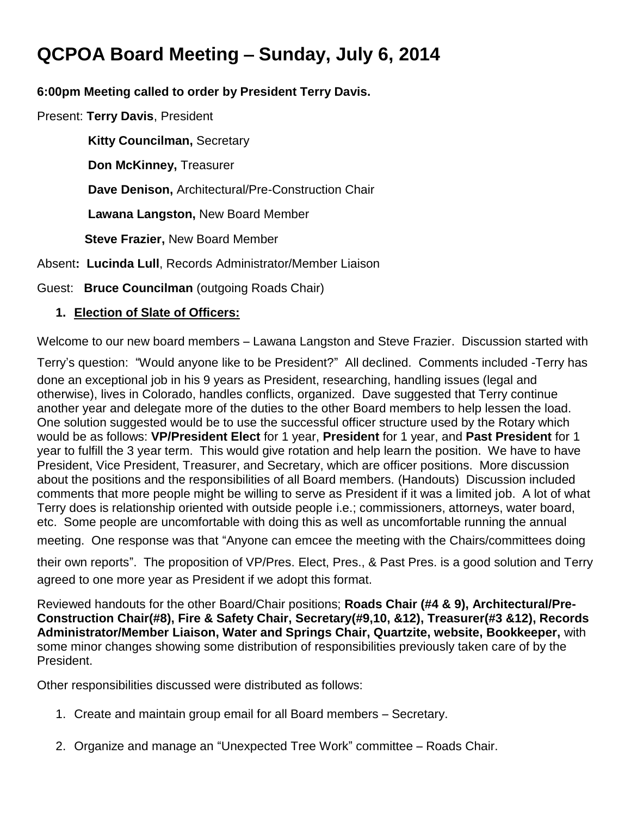# **QCPOA Board Meeting** – **Sunday, July 6, 2014**

#### **6:00pm Meeting called to order by President Terry Davis.**

Present: **Terry Davis**, President

 **Kitty Councilman,** Secretary

**Don McKinney,** Treasurer

 **Dave Denison,** Architectural/Pre-Construction Chair

 **Lawana Langston,** New Board Member

 **Steve Frazier,** New Board Member

Absent**: Lucinda Lull**, Records Administrator/Member Liaison

Guest: **Bruce Councilman** (outgoing Roads Chair)

### **1. Election of Slate of Officers:**

Welcome to our new board members – Lawana Langston and Steve Frazier. Discussion started with

Terry's question: "Would anyone like to be President?" All declined. Comments included -Terry has done an exceptional job in his 9 years as President, researching, handling issues (legal and otherwise), lives in Colorado, handles conflicts, organized. Dave suggested that Terry continue another year and delegate more of the duties to the other Board members to help lessen the load. One solution suggested would be to use the successful officer structure used by the Rotary which would be as follows: **VP/President Elect** for 1 year, **President** for 1 year, and **Past President** for 1 year to fulfill the 3 year term. This would give rotation and help learn the position. We have to have President, Vice President, Treasurer, and Secretary, which are officer positions. More discussion about the positions and the responsibilities of all Board members. (Handouts) Discussion included comments that more people might be willing to serve as President if it was a limited job. A lot of what Terry does is relationship oriented with outside people i.e.; commissioners, attorneys, water board, etc. Some people are uncomfortable with doing this as well as uncomfortable running the annual

meeting. One response was that "Anyone can emcee the meeting with the Chairs/committees doing

their own reports". The proposition of VP/Pres. Elect, Pres., & Past Pres. is a good solution and Terry agreed to one more year as President if we adopt this format.

Reviewed handouts for the other Board/Chair positions; **Roads Chair (#4 & 9), Architectural/Pre-Construction Chair(#8), Fire & Safety Chair, Secretary(#9,10, &12), Treasurer(#3 &12), Records Administrator/Member Liaison, Water and Springs Chair, Quartzite, website, Bookkeeper,** with some minor changes showing some distribution of responsibilities previously taken care of by the President.

Other responsibilities discussed were distributed as follows:

- 1. Create and maintain group email for all Board members Secretary.
- 2. Organize and manage an "Unexpected Tree Work" committee Roads Chair.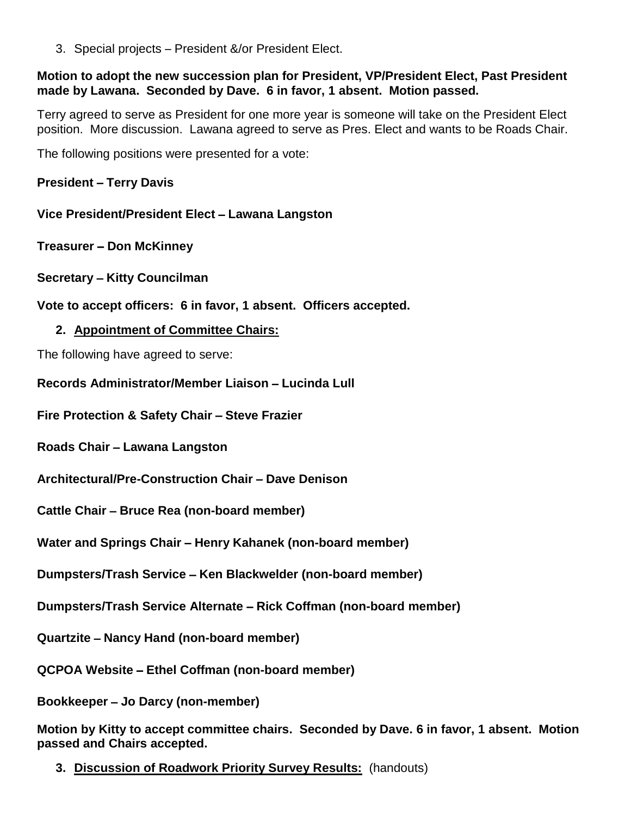3. Special projects – President &/or President Elect.

#### **Motion to adopt the new succession plan for President, VP/President Elect, Past President made by Lawana. Seconded by Dave. 6 in favor, 1 absent. Motion passed.**

Terry agreed to serve as President for one more year is someone will take on the President Elect position. More discussion. Lawana agreed to serve as Pres. Elect and wants to be Roads Chair.

The following positions were presented for a vote:

**President** – **Terry Davis**

**Vice President/President Elect** – **Lawana Langston**

**Treasurer** – **Don McKinney**

**Secretary** – **Kitty Councilman**

**Vote to accept officers: 6 in favor, 1 absent. Officers accepted.**

#### **2. Appointment of Committee Chairs:**

The following have agreed to serve:

**Records Administrator/Member Liaison** – **Lucinda Lull**

**Fire Protection & Safety Chair** – **Steve Frazier**

**Roads Chair** – **Lawana Langston**

**Architectural/Pre-Construction Chair** – **Dave Denison**

**Cattle Chair** – **Bruce Rea (non-board member)**

**Water and Springs Chair** – **Henry Kahanek (non-board member)**

**Dumpsters/Trash Service** – **Ken Blackwelder (non-board member)**

**Dumpsters/Trash Service Alternate** – **Rick Coffman (non-board member)**

**Quartzite** – **Nancy Hand (non-board member)**

**QCPOA Website** – **Ethel Coffman (non-board member)**

**Bookkeeper** – **Jo Darcy (non-member)**

**Motion by Kitty to accept committee chairs. Seconded by Dave. 6 in favor, 1 absent. Motion passed and Chairs accepted.**

**3. Discussion of Roadwork Priority Survey Results:** (handouts)